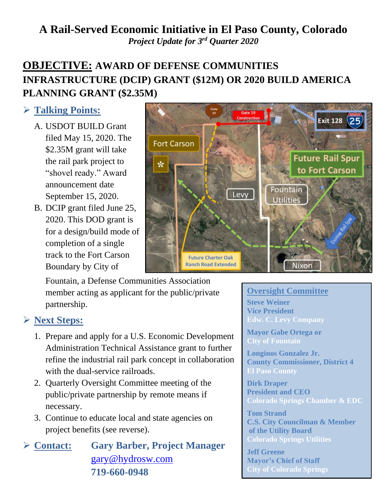## **A Rail-Served Economic Initiative in El Paso County, Colorado** *Project Update for 3 rd Quarter 2020*

# **OBJECTIVE: AWARD OF DEFENSE COMMUNITIES INFRASTRUCTURE (DCIP) GRANT (\$12M) OR 2020 BUILD AMERICA PLANNING GRANT (\$2.35M)**

## ➢ **Talking Points:**

- A. USDOT BUILD Grant filed May 15, 2020. The \$2.35M grant will take the rail park project to "shovel ready." Award announcement date September 15, 2020.
- B. DCIP grant filed June 25, 2020. This DOD grant is for a design/build mode of completion of a single track to the Fort Carson Boundary by City of



Fountain, a Defense Communities Association member acting as applicant for the public/private partnership.

### ➢ **Next Steps:**

- 1. Prepare and apply for a U.S. Economic Development Administration Technical Assistance grant to further refine the industrial rail park concept in collaboration with the dual-service railroads.
- 2. Quarterly Oversight Committee meeting of the public/private partnership by remote means if necessary.
- 3. Continue to educate local and state agencies on project benefits (see reverse).

➢ **Contact: Gary Barber, Project Manager** [gary@hydrosw.com](mailto:gary@hydrosw.com) **719-660-0948**

#### **Oversight Committee**

**Steve Weiner Vice President Edw. C. Levy Company**

**Mayor Gabe Ortega or City of Fountain**

**Longinos Gonzalez Jr. County Commissioner, District 4 El Paso County**

**Dirk Draper President and CEO Colorado Springs Chamber & EDC**

**Tom Strand C.S. City Councilman & Member of the Utility Board Colorado Springs Utilities**

**Jeff Greene Mayor's Chief of Staff City of Colorado Springs**